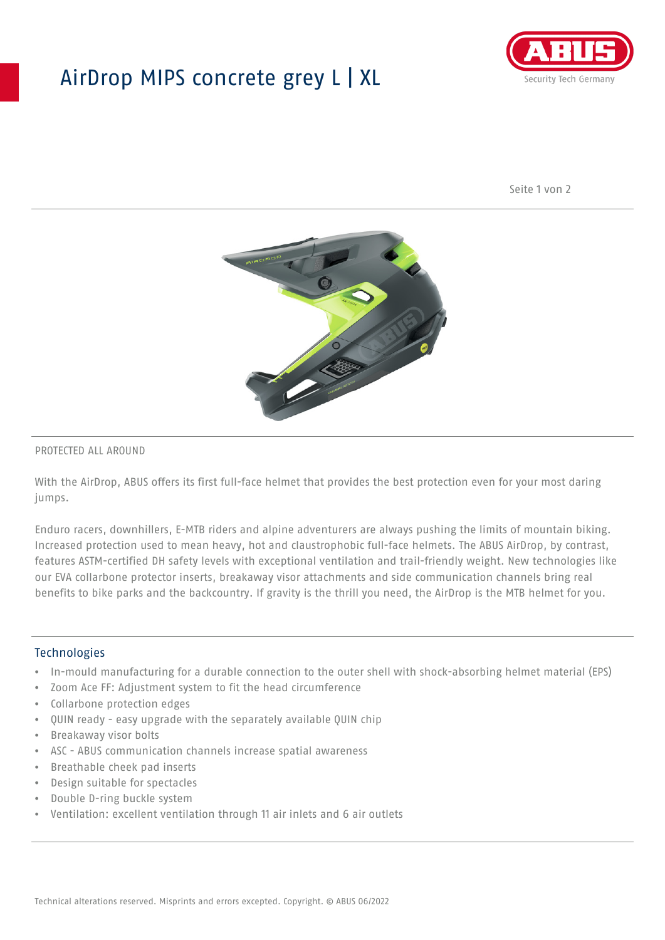## AirDrop MIPS concrete grey L | XL



Seite 1 von 2



#### PROTECTED ALL AROUND

With the AirDrop, ABUS offers its first full-face helmet that provides the best protection even for your most daring jumps.

Enduro racers, downhillers, E-MTB riders and alpine adventurers are always pushing the limits of mountain biking. Increased protection used to mean heavy, hot and claustrophobic full-face helmets. The ABUS AirDrop, by contrast, features ASTM-certified DH safety levels with exceptional ventilation and trail-friendly weight. New technologies like our EVA collarbone protector inserts, breakaway visor attachments and side communication channels bring real benefits to bike parks and the backcountry. If gravity is the thrill you need, the AirDrop is the MTB helmet for you.

#### **Technologies**

- In-mould manufacturing for a durable connection to the outer shell with shock-absorbing helmet material (EPS)
- Zoom Ace FF: Adjustment system to fit the head circumference
- Collarbone protection edges
- QUIN ready easy upgrade with the separately available QUIN chip
- Breakaway visor bolts
- ASC ABUS communication channels increase spatial awareness
- Breathable cheek pad inserts
- Design suitable for spectacles
- Double D-ring buckle system
- Ventilation: excellent ventilation through 11 air inlets and 6 air outlets